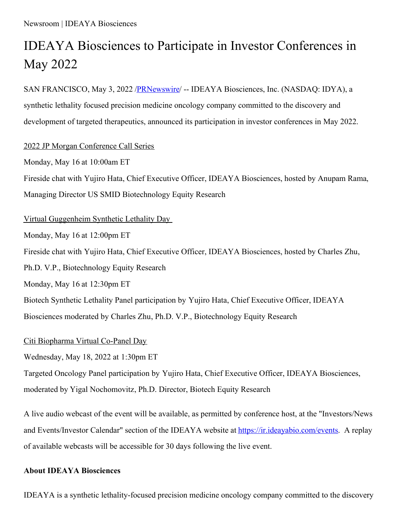# IDEAYA Biosciences to Participate in Investor Conferences in May 2022

SAN FRANCISCO, May 3, 2022 [/PRNewswire](http://www.prnewswire.com/)/ -- IDEAYA Biosciences, Inc. (NASDAQ: IDYA), a synthetic lethality focused precision medicine oncology company committed to the discovery and development of targeted therapeutics, announced its participation in investor conferences in May 2022.

## 2022 JP Morgan Conference Call Series

Monday, May 16 at 10:00am ET Fireside chat with Yujiro Hata, Chief Executive Officer, IDEAYA Biosciences, hosted by Anupam Rama, Managing Director US SMID Biotechnology Equity Research

#### Virtual Guggenheim Synthetic Lethality Day

Monday, May 16 at 12:00pm ET

Fireside chat with Yujiro Hata, Chief Executive Officer, IDEAYA Biosciences, hosted by Charles Zhu,

Ph.D. V.P., Biotechnology Equity Research

Monday, May 16 at 12:30pm ET

Biotech Synthetic Lethality Panel participation by Yujiro Hata, Chief Executive Officer, IDEAYA Biosciences moderated by Charles Zhu, Ph.D. V.P., Biotechnology Equity Research

## Citi Biopharma Virtual Co-Panel Day

Wednesday, May 18, 2022 at 1:30pm ET

Targeted Oncology Panel participation by Yujiro Hata, Chief Executive Officer, IDEAYA Biosciences, moderated by Yigal Nochomovitz, Ph.D. Director, Biotech Equity Research

A live audio webcast of the event will be available, as permitted by conference host, at the "Investors/News and Events/Investor Calendar" section of the IDEAYA website at [https://ir.ideayabio.com/events](https://c212.net/c/link/?t=0&l=en&o=3513819-1&h=1621369361&u=https%3A%2F%2Fir.ideayabio.com%2Fevents&a=https%3A%2F%2Fir.ideayabio.com%2Fevents). A replay of available webcasts will be accessible for 30 days following the live event.

## **About IDEAYA Biosciences**

IDEAYA is a synthetic lethality-focused precision medicine oncology company committed to the discovery